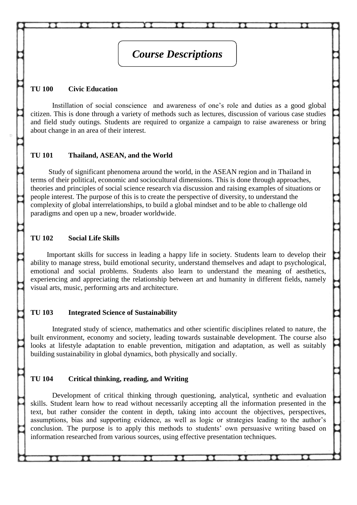# *Course Descriptions*

### **TU 100 Civic Education**

Instillation of social conscience and awareness of one's role and duties as a good global citizen. This is done through a variety of methods such as lectures, discussion of various case studies and field study outings. Students are required to organize a campaign to raise awareness or bring about change in an area of their interest.

#### **TU 101 Thailand, ASEAN, and the World**

Study of significant phenomena around the world, in the ASEAN region and in Thailand in terms of their political, economic and sociocultural dimensions. This is done through approaches, theories and principles of social science research via discussion and raising examples of situations or people interest. The purpose of this is to create the perspective of diversity, to understand the complexity of global interrelationships, to build a global mindset and to be able to challenge old paradigms and open up a new, broader worldwide.

#### **TU 102 Social Life Skills**

Important skills for success in leading a happy life in society. Students learn to develop their ability to manage stress, build emotional security, understand themselves and adapt to psychological, emotional and social problems. Students also learn to understand the meaning of aesthetics, experiencing and appreciating the relationship between art and humanity in different fields, namely visual arts, music, performing arts and architecture.

#### **TU 103 Integrated Science of Sustainability**

Integrated study of science, mathematics and other scientific disciplines related to nature, the built environment, economy and society, leading towards sustainable development. The course also looks at lifestyle adaptation to enable prevention, mitigation and adaptation, as well as suitably building sustainability in global dynamics, both physically and socially.

#### **TU 104 Critical thinking, reading, and Writing**

Development of critical thinking through questioning, analytical, synthetic and evaluation skills. Student learn how to read without necessarily accepting all the information presented in the text, but rather consider the content in depth, taking into account the objectives, perspectives, assumptions, bias and supporting evidence, as well as logic or strategies leading to the author's conclusion. The purpose is to apply this methods to students' own persuasive writing based on information researched from various sources, using effective presentation techniques.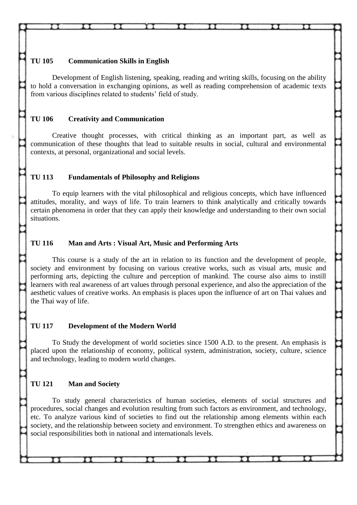## **TU 105 Communication Skills in English**

Development of English listening, speaking, reading and writing skills, focusing on the ability to hold a conversation in exchanging opinions, as well as reading comprehension of academic texts from various disciplines related to students' field of study.

# **TU 106 Creativity and Communication**

Creative thought processes, with critical thinking as an important part, as well as communication of these thoughts that lead to suitable results in social, cultural and environmental contexts, at personal, organizational and social levels.

## **TU 113 Fundamentals of Philosophy and Religions**

To equip learners with the vital philosophical and religious concepts, which have influenced attitudes, morality, and ways of life. To train learners to think analytically and critically towards certain phenomena in order that they can apply their knowledge and understanding to their own social situations.

### **TU 116 Man and Arts : Visual Art, Music and Performing Arts**

This course is a study of the art in relation to its function and the development of people, society and environment by focusing on various creative works, such as visual arts, music and performing arts, depicting the culture and perception of mankind. The course also aims to instill learners with real awareness of art values through personal experience, and also the appreciation of the aesthetic values of creative works. An emphasis is places upon the influence of art on Thai values and the Thai way of life.

### **TU 117 Development of the Modern World**

To Study the development of world societies since 1500 A.D. to the present. An emphasis is placed upon the relationship of economy, political system, administration, society, culture, science and technology, leading to modern world changes.

### **TU 121 Man and Society**

To study general characteristics of human societies, elements of social structures and procedures, social changes and evolution resulting from such factors as environment, and technology, etc. To analyze various kind of societies to find out the relationship among elements within each society, and the relationship between society and environment. To strengthen ethics and awareness on social responsibilities both in national and internationals levels.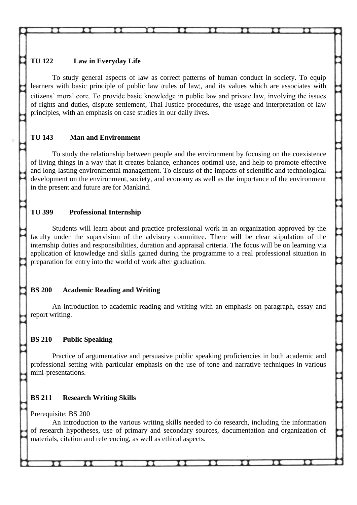# **TU 122 Law in Everyday Life**

To study general aspects of law as correct patterns of human conduct in society. To equip learners with basic principle of public law (rules of law), and its values which are associates with citizens' moral core. To provide basic knowledge in public law and private law, involving the issues of rights and duties, dispute settlement, Thai Justice procedures, the usage and interpretation of law principles, with an emphasis on case studies in our daily lives.

# **TU 143 Man and Environment**

To study the relationship between people and the environment by focusing on the coexistence of living things in a way that it creates balance, enhances optimal use, and help to promote effective and long-lasting environmental management. To discuss of the impacts of scientific and technological development on the environment, society, and economy as well as the importance of the environment in the present and future are for Mankind.

# **TU 399 Professional Internship**

Students will learn about and practice professional work in an organization approved by the faculty under the supervision of the advisory committee. There will be clear stipulation of the internship duties and responsibilities, duration and appraisal criteria. The focus will be on learning via application of knowledge and skills gained during the programme to a real professional situation in preparation for entry into the world of work after graduation.

# **BS 200 Academic Reading and Writing**

An introduction to academic reading and writing with an emphasis on paragraph, essay and report writing.

# **BS 210 Public Speaking**

Practice of argumentative and persuasive public speaking proficiencies in both academic and professional setting with particular emphasis on the use of tone and narrative techniques in various mini-presentations.

# **BS 211 Research Writing Skills**

Prerequisite: BS 200

An introduction to the various writing skills needed to do research, including the information of research hypotheses, use of primary and secondary sources, documentation and organization of materials, citation and referencing, as well as ethical aspects.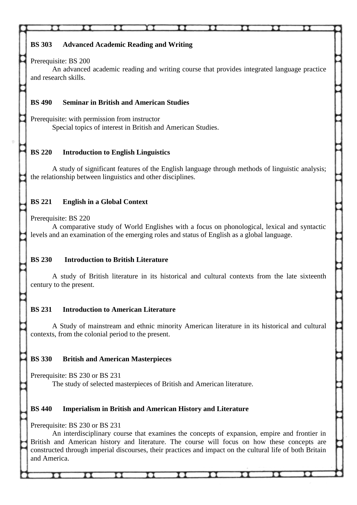# **BS 303 Advanced Academic Reading and Writing**

## Prerequisite: BS 200

An advanced academic reading and writing course that provides integrated language practice and research skills.

# **BS 490 Seminar in British and American Studies**

Prerequisite: with permission from instructor Special topics of interest in British and American Studies.

# **BS 220 Introduction to English Linguistics**

A study of significant features of the English language through methods of linguistic analysis; the relationship between linguistics and other disciplines.

# **BS 221 English in a Global Context**

Prerequisite: BS 220

A comparative study of World Englishes with a focus on phonological, lexical and syntactic levels and an examination of the emerging roles and status of English as a global language.

# **BS 230 Introduction to British Literature**

A study of British literature in its historical and cultural contexts from the late sixteenth century to the present.

# **BS 231 Introduction to American Literature**

A Study of mainstream and ethnic minority American literature in its historical and cultural contexts, from the colonial period to the present.

# **BS 330 British and American Masterpieces**

Prerequisite: BS 230 or BS 231

The study of selected masterpieces of British and American literature.

# **BS 440 Imperialism in British and American History and Literature**

Prerequisite: BS 230 or BS 231

π

п

An interdisciplinary course that examines the concepts of expansion, empire and frontier in British and American history and literature. The course will focus on how these concepts are constructed through imperial discourses, their practices and impact on the cultural life of both Britain and America.

тт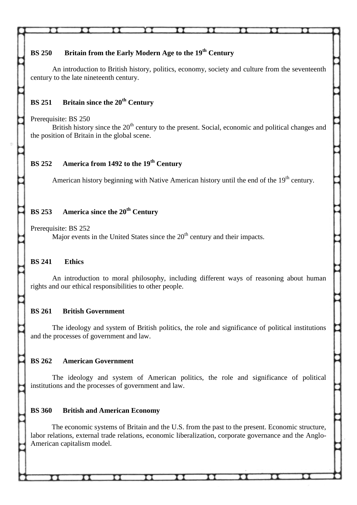# **BS 250 Britain from the Early Modern Age to the 19th Century**

An introduction to British history, politics, economy, society and culture from the seventeenth century to the late nineteenth century.

## **BS 251 Britain since the 20th Century**

Prerequisite: BS 250

British history since the  $20<sup>th</sup>$  century to the present. Social, economic and political changes and the position of Britain in the global scene.

# **BS 252 America from 1492 to the 19th Century**

American history beginning with Native American history until the end of the 19<sup>th</sup> century.

# **BS 253 America since the 20th Century**

Prerequisite: BS 252

Major events in the United States since the  $20<sup>th</sup>$  century and their impacts.

### **BS 241 Ethics**

An introduction to moral philosophy, including different ways of reasoning about human rights and our ethical responsibilities to other people.

#### **BS 261 British Government**

The ideology and system of British politics, the role and significance of political institutions and the processes of government and law.

### **BS 262 American Government**

The ideology and system of American politics, the role and significance of political institutions and the processes of government and law.

#### **BS 360 British and American Economy**

The economic systems of Britain and the U.S. from the past to the present. Economic structure, labor relations, external trade relations, economic liberalization, corporate governance and the Anglo-American capitalism model.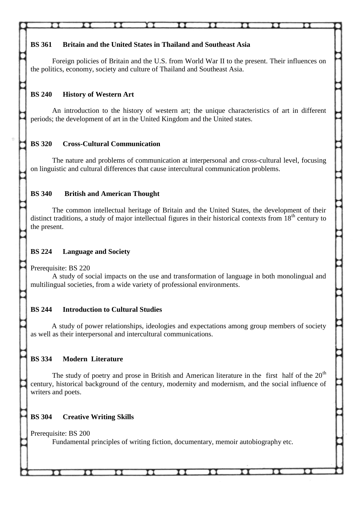# **BS 361 Britain and the United States in Thailand and Southeast Asia**

Foreign policies of Britain and the U.S. from World War II to the present. Their influences on the politics, economy, society and culture of Thailand and Southeast Asia.

# **BS 240 History of Western Art**

An introduction to the history of western art; the unique characteristics of art in different periods; the development of art in the United Kingdom and the United states.

# **BS 320 Cross-Cultural Communication**

The nature and problems of communication at interpersonal and cross-cultural level, focusing on linguistic and cultural differences that cause intercultural communication problems.

# **BS 340 British and American Thought**

The common intellectual heritage of Britain and the United States, the development of their distinct traditions, a study of major intellectual figures in their historical contexts from  $18<sup>th</sup>$  century to the present.

# **BS 224 Language and Society**

Prerequisite: BS 220

A study of social impacts on the use and transformation of language in both monolingual and multilingual societies, from a wide variety of professional environments.

# **BS 244 Introduction to Cultural Studies**

A study of power relationships, ideologies and expectations among group members of society as well as their interpersonal and intercultural communications.

# **BS 334 Modern Literature**

The study of poetry and prose in British and American literature in the first half of the  $20<sup>th</sup>$ century, historical background of the century, modernity and modernism, and the social influence of writers and poets.

# **BS 304 Creative Writing Skills**

Prerequisite: BS 200

Fundamental principles of writing fiction, documentary, memoir autobiography etc.

тт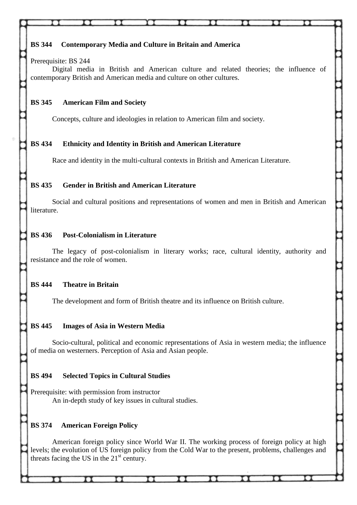| <b>BS</b> 344<br><b>Contemporary Media and Culture in Britain and America</b><br>Prerequisite: BS 244<br>Digital media in British and American culture and related theories; the influence of<br>contemporary British and American media and culture on other cultures. |  |
|-------------------------------------------------------------------------------------------------------------------------------------------------------------------------------------------------------------------------------------------------------------------------|--|
| <b>BS</b> 345<br><b>American Film and Society</b><br>Concepts, culture and ideologies in relation to American film and society.                                                                                                                                         |  |
| <b>BS</b> 434<br><b>Ethnicity and Identity in British and American Literature</b><br>Race and identity in the multi-cultural contexts in British and American Literature.                                                                                               |  |
| <b>BS 435</b><br><b>Gender in British and American Literature</b>                                                                                                                                                                                                       |  |
| Social and cultural positions and representations of women and men in British and American<br>literature.                                                                                                                                                               |  |
| <b>BS 436</b><br><b>Post-Colonialism in Literature</b>                                                                                                                                                                                                                  |  |

The legacy of post-colonialism in literary works; race, cultural identity, authority and resistance and the role of women.

# **BS 444 Theatre in Britain**

The development and form of British theatre and its influence on British culture.

# **BS 445 Images of Asia in Western Media**

Socio-cultural, political and economic representations of Asia in western media; the influence of media on westerners. Perception of Asia and Asian people.

# **BS 494 Selected Topics in Cultural Studies**

Prerequisite: with permission from instructor An in-depth study of key issues in cultural studies.

rі

11

# **BS 374 American Foreign Policy**

American foreign policy since World War II. The working process of foreign policy at high levels; the evolution of US foreign policy from the Cold War to the present, problems, challenges and threats facing the US in the  $21<sup>st</sup>$  century.

11.

TТ

ŦТ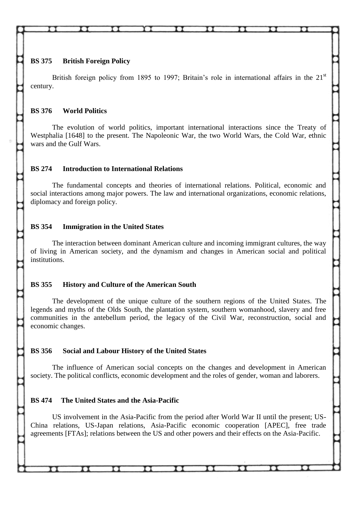**BS 375 British Foreign Policy**

British foreign policy from 1895 to 1997; Britain's role in international affairs in the 21<sup>st</sup> century.

## **BS 376 World Politics**

The evolution of world politics, important international interactions since the Treaty of Westphalia [1648] to the present. The Napoleonic War, the two World Wars, the Cold War, ethnic wars and the Gulf Wars.

## **BS 274 Introduction to International Relations**

The fundamental concepts and theories of international relations. Political, economic and social interactions among major powers. The law and international organizations, economic relations, diplomacy and foreign policy.

# **BS 354 Immigration in the United States**

The interaction between dominant American culture and incoming immigrant cultures, the way of living in American society, and the dynamism and changes in American social and political institutions.

# **BS 355 History and Culture of the American South**

The development of the unique culture of the southern regions of the United States. The legends and myths of the Olds South, the plantation system, southern womanhood, slavery and free communities in the antebellum period, the legacy of the Civil War, reconstruction, social and economic changes.

# **BS 356 Social and Labour History of the United States**

 $\mathbf{u}$ 

The influence of American social concepts on the changes and development in American society. The political conflicts, economic development and the roles of gender, woman and laborers.

# **BS 474 The United States and the Asia-Pacific**

 $\mathbf{H}$ 

US involvement in the Asia-Pacific from the period after World War II until the present; US-China relations, US-Japan relations, Asia-Pacific economic cooperation [APEC], free trade agreements [FTAs]; relations between the US and other powers and their effects on the Asia-Pacific.

 $\mathbf{H}$ 

 $\mathbf{u}$ 

 $\pi$ 

 $\mathbf{H}$ 

π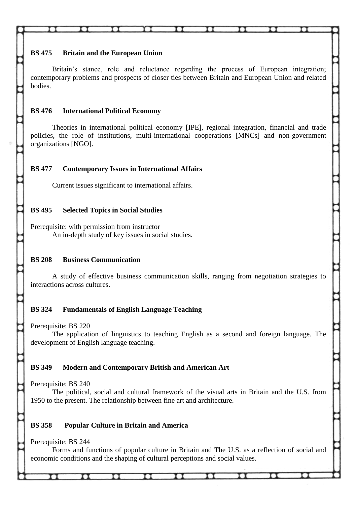## **BS 475 Britain and the European Union**

Britain's stance, role and reluctance regarding the process of European integration; contemporary problems and prospects of closer ties between Britain and European Union and related bodies.

## **BS 476 International Political Economy**

Theories in international political economy [IPE], regional integration, financial and trade policies, the role of institutions, multi-international cooperations [MNCs] and non-government organizations [NGO].

## **BS 477 Contemporary Issues in International Affairs**

Current issues significant to international affairs.

## **BS 495 Selected Topics in Social Studies**

Prerequisite: with permission from instructor An in-depth study of key issues in social studies.

# **BS 208 Business Communication**

A study of effective business communication skills, ranging from negotiation strategies to interactions across cultures.

# **BS 324 Fundamentals of English Language Teaching**

Prerequisite: BS 220

The application of linguistics to teaching English as a second and foreign language. The development of English language teaching.

# **BS 349 Modern and Contemporary British and American Art**

Prerequisite: BS 240

The political, social and cultural framework of the visual arts in Britain and the U.S. from 1950 to the present. The relationship between fine art and architecture.

# **BS 358 Popular Culture in Britain and America**

Prerequisite: BS 244

Forms and functions of popular culture in Britain and The U.S. as a reflection of social and economic conditions and the shaping of cultural perceptions and social values.

π

тт